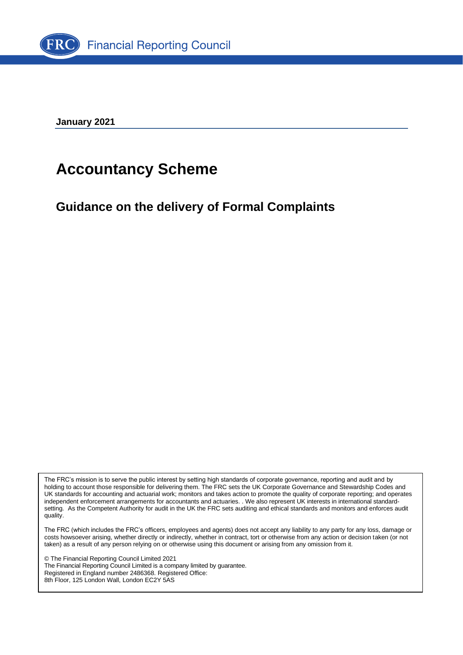

**January 2021**

# **Accountancy Scheme**

**Guidance on the delivery of Formal Complaints**

The FRC's mission is to serve the public interest by setting high standards of corporate governance, reporting and audit and by holding to account those responsible for delivering them. The FRC sets the UK Corporate Governance and Stewardship Codes and UK standards for accounting and actuarial work; monitors and takes action to promote the quality of corporate reporting; and operates independent enforcement arrangements for accountants and actuaries. . We also represent UK interests in international standardsetting. As the Competent Authority for audit in the UK the FRC sets auditing and ethical standards and monitors and enforces audit quality.

The FRC (which includes the FRC's officers, employees and agents) does not accept any liability to any party for any loss, damage or costs howsoever arising, whether directly or indirectly, whether in contract, tort or otherwise from any action or decision taken (or not taken) as a result of any person relying on or otherwise using this document or arising from any omission from it.

© The Financial Reporting Council Limited 2021 The Financial Reporting Council Limited is a company limited by guarantee. Registered in England number 2486368. Registered Office: 8th Floor, 125 London Wall, London EC2Y 5AS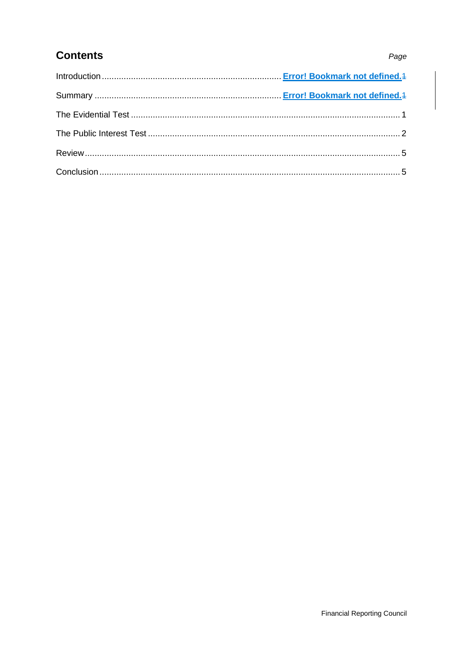## **Contents**

| . .<br>×<br>v<br>×<br>×<br>٠ |
|------------------------------|
|------------------------------|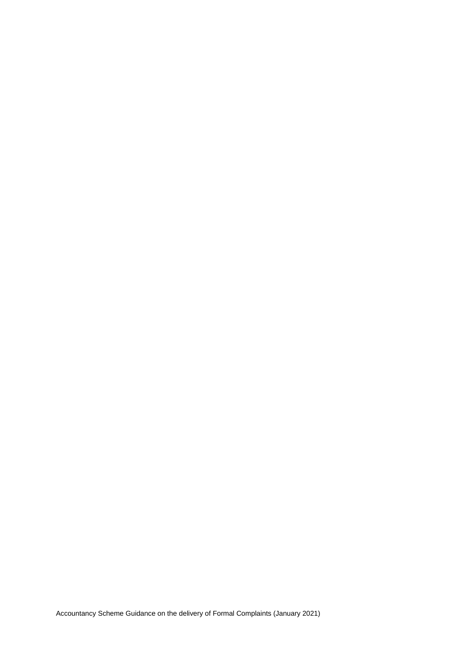Accountancy Scheme Guidance on the delivery of Formal Complaints (January 2021)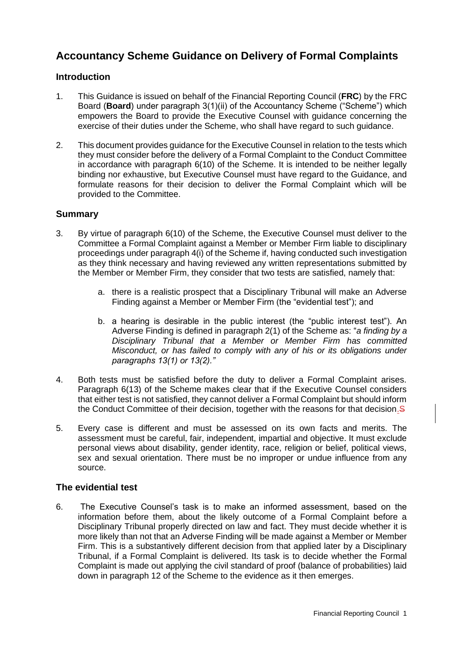### **Accountancy Scheme Guidance on Delivery of Formal Complaints**

#### **Introduction**

- 1. This Guidance is issued on behalf of the Financial Reporting Council (**FRC**) by the FRC Board (**Board**) under paragraph 3(1)(ii) of the Accountancy Scheme ("Scheme") which empowers the Board to provide the Executive Counsel with guidance concerning the exercise of their duties under the Scheme, who shall have regard to such guidance.
- 2. This document provides guidance for the Executive Counsel in relation to the tests which they must consider before the delivery of a Formal Complaint to the Conduct Committee in accordance with paragraph 6(10) of the Scheme. It is intended to be neither legally binding nor exhaustive, but Executive Counsel must have regard to the Guidance, and formulate reasons for their decision to deliver the Formal Complaint which will be provided to the Committee.

#### **Summary**

- 3. By virtue of paragraph 6(10) of the Scheme, the Executive Counsel must deliver to the Committee a Formal Complaint against a Member or Member Firm liable to disciplinary proceedings under paragraph 4(i) of the Scheme if, having conducted such investigation as they think necessary and having reviewed any written representations submitted by the Member or Member Firm, they consider that two tests are satisfied, namely that:
	- a. there is a realistic prospect that a Disciplinary Tribunal will make an Adverse Finding against a Member or Member Firm (the "evidential test"); and
	- b. a hearing is desirable in the public interest (the "public interest test"). An Adverse Finding is defined in paragraph 2(1) of the Scheme as: "*a finding by a Disciplinary Tribunal that a Member or Member Firm has committed Misconduct, or has failed to comply with any of his or its obligations under paragraphs 13(1) or 13(2)."*
- 4. Both tests must be satisfied before the duty to deliver a Formal Complaint arises. Paragraph 6(13) of the Scheme makes clear that if the Executive Counsel considers that either test is not satisfied, they cannot deliver a Formal Complaint but should inform the Conduct Committee of their decision, together with the reasons for that decision.<sup>S</sup>
- 5. Every case is different and must be assessed on its own facts and merits. The assessment must be careful, fair, independent, impartial and objective. It must exclude personal views about disability, gender identity, race, religion or belief, political views, sex and sexual orientation. There must be no improper or undue influence from any source.

#### **The evidential test**

6. The Executive Counsel's task is to make an informed assessment, based on the information before them, about the likely outcome of a Formal Complaint before a Disciplinary Tribunal properly directed on law and fact. They must decide whether it is more likely than not that an Adverse Finding will be made against a Member or Member Firm. This is a substantively different decision from that applied later by a Disciplinary Tribunal, if a Formal Complaint is delivered. Its task is to decide whether the Formal Complaint is made out applying the civil standard of proof (balance of probabilities) laid down in paragraph 12 of the Scheme to the evidence as it then emerges.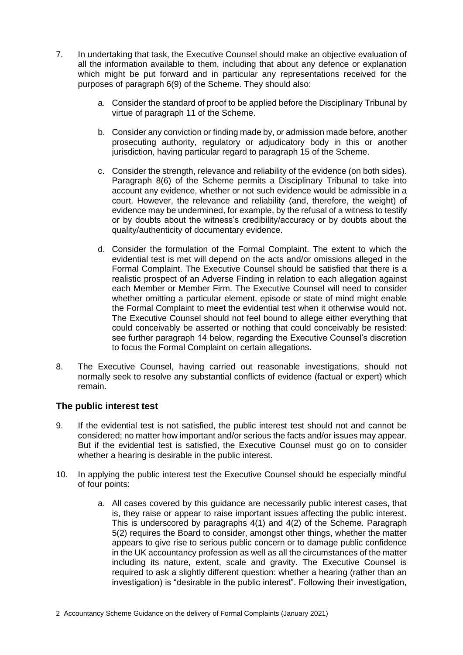- 7. In undertaking that task, the Executive Counsel should make an objective evaluation of all the information available to them, including that about any defence or explanation which might be put forward and in particular any representations received for the purposes of paragraph 6(9) of the Scheme. They should also:
	- a. Consider the standard of proof to be applied before the Disciplinary Tribunal by virtue of paragraph 11 of the Scheme.
	- b. Consider any conviction or finding made by, or admission made before, another prosecuting authority, regulatory or adjudicatory body in this or another jurisdiction, having particular regard to paragraph 15 of the Scheme.
	- c. Consider the strength, relevance and reliability of the evidence (on both sides). Paragraph 8(6) of the Scheme permits a Disciplinary Tribunal to take into account any evidence, whether or not such evidence would be admissible in a court. However, the relevance and reliability (and, therefore, the weight) of evidence may be undermined, for example, by the refusal of a witness to testify or by doubts about the witness's credibility/accuracy or by doubts about the quality/authenticity of documentary evidence.
	- d. Consider the formulation of the Formal Complaint. The extent to which the evidential test is met will depend on the acts and/or omissions alleged in the Formal Complaint. The Executive Counsel should be satisfied that there is a realistic prospect of an Adverse Finding in relation to each allegation against each Member or Member Firm. The Executive Counsel will need to consider whether omitting a particular element, episode or state of mind might enable the Formal Complaint to meet the evidential test when it otherwise would not. The Executive Counsel should not feel bound to allege either everything that could conceivably be asserted or nothing that could conceivably be resisted: see further paragraph 14 below, regarding the Executive Counsel's discretion to focus the Formal Complaint on certain allegations.
- 8. The Executive Counsel, having carried out reasonable investigations, should not normally seek to resolve any substantial conflicts of evidence (factual or expert) which remain.

#### **The public interest test**

- 9. If the evidential test is not satisfied, the public interest test should not and cannot be considered; no matter how important and/or serious the facts and/or issues may appear. But if the evidential test is satisfied, the Executive Counsel must go on to consider whether a hearing is desirable in the public interest.
- 10. In applying the public interest test the Executive Counsel should be especially mindful of four points:
	- a. All cases covered by this guidance are necessarily public interest cases, that is, they raise or appear to raise important issues affecting the public interest. This is underscored by paragraphs 4(1) and 4(2) of the Scheme. Paragraph 5(2) requires the Board to consider, amongst other things, whether the matter appears to give rise to serious public concern or to damage public confidence in the UK accountancy profession as well as all the circumstances of the matter including its nature, extent, scale and gravity. The Executive Counsel is required to ask a slightly different question: whether a hearing (rather than an investigation) is "desirable in the public interest". Following their investigation,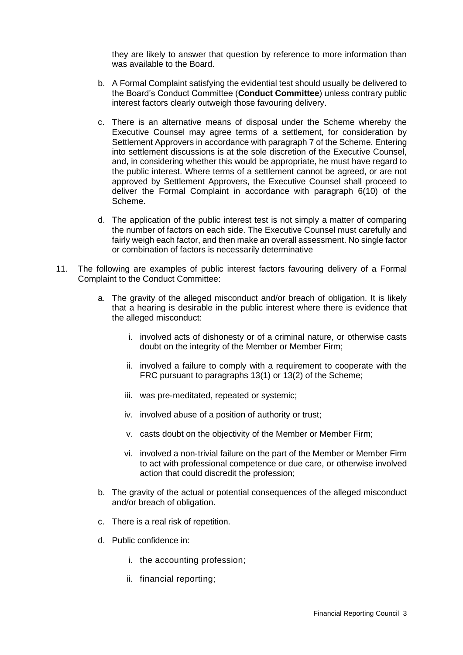they are likely to answer that question by reference to more information than was available to the Board.

- b. A Formal Complaint satisfying the evidential test should usually be delivered to the Board's Conduct Committee (**Conduct Committee**) unless contrary public interest factors clearly outweigh those favouring delivery.
- c. There is an alternative means of disposal under the Scheme whereby the Executive Counsel may agree terms of a settlement, for consideration by Settlement Approvers in accordance with paragraph 7 of the Scheme. Entering into settlement discussions is at the sole discretion of the Executive Counsel, and, in considering whether this would be appropriate, he must have regard to the public interest. Where terms of a settlement cannot be agreed, or are not approved by Settlement Approvers, the Executive Counsel shall proceed to deliver the Formal Complaint in accordance with paragraph 6(10) of the Scheme.
- d. The application of the public interest test is not simply a matter of comparing the number of factors on each side. The Executive Counsel must carefully and fairly weigh each factor, and then make an overall assessment. No single factor or combination of factors is necessarily determinative
- 11. The following are examples of public interest factors favouring delivery of a Formal Complaint to the Conduct Committee:
	- a. The gravity of the alleged misconduct and/or breach of obligation. It is likely that a hearing is desirable in the public interest where there is evidence that the alleged misconduct:
		- i. involved acts of dishonesty or of a criminal nature, or otherwise casts doubt on the integrity of the Member or Member Firm;
		- ii. involved a failure to comply with a requirement to cooperate with the FRC pursuant to paragraphs 13(1) or 13(2) of the Scheme;
		- iii. was pre-meditated, repeated or systemic;
		- iv. involved abuse of a position of authority or trust;
		- v. casts doubt on the objectivity of the Member or Member Firm;
		- vi. involved a non‐trivial failure on the part of the Member or Member Firm to act with professional competence or due care, or otherwise involved action that could discredit the profession;
	- b. The gravity of the actual or potential consequences of the alleged misconduct and/or breach of obligation.
	- c. There is a real risk of repetition.
	- d. Public confidence in:
		- i. the accounting profession;
		- ii. financial reporting;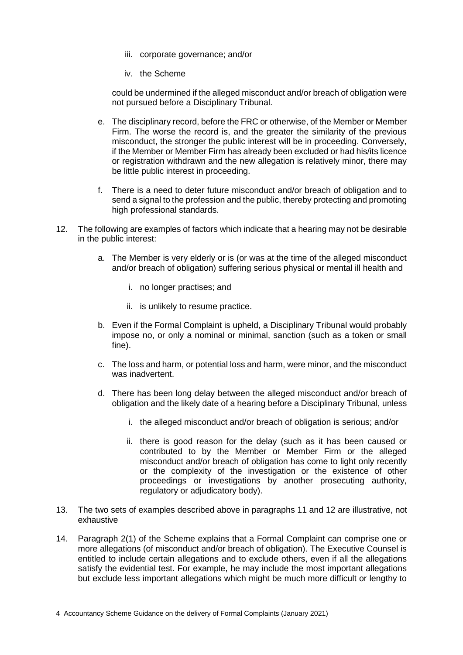- iii. corporate governance; and/or
- iv. the Scheme

could be undermined if the alleged misconduct and/or breach of obligation were not pursued before a Disciplinary Tribunal.

- e. The disciplinary record, before the FRC or otherwise, of the Member or Member Firm. The worse the record is, and the greater the similarity of the previous misconduct, the stronger the public interest will be in proceeding. Conversely, if the Member or Member Firm has already been excluded or had his/its licence or registration withdrawn and the new allegation is relatively minor, there may be little public interest in proceeding.
- f. There is a need to deter future misconduct and/or breach of obligation and to send a signal to the profession and the public, thereby protecting and promoting high professional standards.
- 12. The following are examples of factors which indicate that a hearing may not be desirable in the public interest:
	- a. The Member is very elderly or is (or was at the time of the alleged misconduct and/or breach of obligation) suffering serious physical or mental ill health and
		- i. no longer practises; and
		- ii. is unlikely to resume practice.
	- b. Even if the Formal Complaint is upheld, a Disciplinary Tribunal would probably impose no, or only a nominal or minimal, sanction (such as a token or small fine).
	- c. The loss and harm, or potential loss and harm, were minor, and the misconduct was inadvertent.
	- d. There has been long delay between the alleged misconduct and/or breach of obligation and the likely date of a hearing before a Disciplinary Tribunal, unless
		- i. the alleged misconduct and/or breach of obligation is serious; and/or
		- ii. there is good reason for the delay (such as it has been caused or contributed to by the Member or Member Firm or the alleged misconduct and/or breach of obligation has come to light only recently or the complexity of the investigation or the existence of other proceedings or investigations by another prosecuting authority, regulatory or adjudicatory body).
- 13. The two sets of examples described above in paragraphs 11 and 12 are illustrative, not exhaustive
- 14. Paragraph 2(1) of the Scheme explains that a Formal Complaint can comprise one or more allegations (of misconduct and/or breach of obligation). The Executive Counsel is entitled to include certain allegations and to exclude others, even if all the allegations satisfy the evidential test. For example, he may include the most important allegations but exclude less important allegations which might be much more difficult or lengthy to

<sup>4</sup> Accountancy Scheme Guidance on the delivery of Formal Complaints (January 2021)